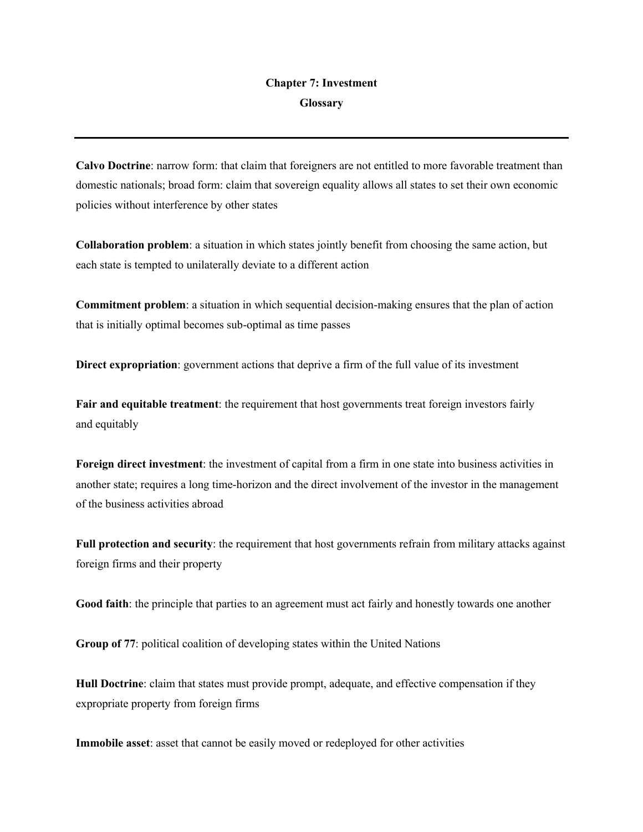## **Chapter 7: Investment Glossary**

**Calvo Doctrine**: narrow form: that claim that foreigners are not entitled to more favorable treatment than domestic nationals; broad form: claim that sovereign equality allows all states to set their own economic policies without interference by other states

**Collaboration problem**: a situation in which states jointly benefit from choosing the same action, but each state is tempted to unilaterally deviate to a different action

**Commitment problem**: a situation in which sequential decision-making ensures that the plan of action that is initially optimal becomes sub-optimal as time passes

**Direct expropriation**: government actions that deprive a firm of the full value of its investment

**Fair and equitable treatment**: the requirement that host governments treat foreign investors fairly and equitably

**Foreign direct investment**: the investment of capital from a firm in one state into business activities in another state; requires a long time-horizon and the direct involvement of the investor in the management of the business activities abroad

**Full protection and security**: the requirement that host governments refrain from military attacks against foreign firms and their property

**Good faith**: the principle that parties to an agreement must act fairly and honestly towards one another

**Group of 77**: political coalition of developing states within the United Nations

**Hull Doctrine**: claim that states must provide prompt, adequate, and effective compensation if they expropriate property from foreign firms

**Immobile asset**: asset that cannot be easily moved or redeployed for other activities